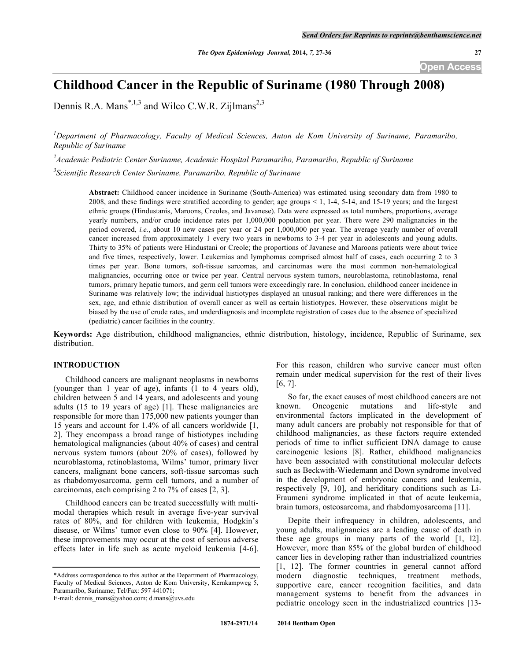# **Childhood Cancer in the Republic of Suriname (1980 Through 2008)**

Dennis R.A. Mans<sup>\*,1,3</sup> and Wilco C.W.R. Zijlmans<sup>2,3</sup>

<sup>1</sup>Department of Pharmacology, Faculty of Medical Sciences, Anton de Kom University of Suriname, Paramaribo, *Republic of Suriname*

*2 Academic Pediatric Center Suriname, Academic Hospital Paramaribo, Paramaribo, Republic of Suriname*

*3 Scientific Research Center Suriname, Paramaribo, Republic of Suriname*

**Abstract:** Childhood cancer incidence in Suriname (South-America) was estimated using secondary data from 1980 to 2008, and these findings were stratified according to gender; age groups < 1, 1-4, 5-14, and 15-19 years; and the largest ethnic groups (Hindustanis, Maroons, Creoles, and Javanese). Data were expressed as total numbers, proportions, average yearly numbers, and/or crude incidence rates per 1,000,000 population per year. There were 290 malignancies in the period covered, *i.e.*, about 10 new cases per year or 24 per 1,000,000 per year. The average yearly number of overall cancer increased from approximately 1 every two years in newborns to 3-4 per year in adolescents and young adults. Thirty to 35% of patients were Hindustani or Creole; the proportions of Javanese and Maroons patients were about twice and five times, respectively, lower. Leukemias and lymphomas comprised almost half of cases, each occurring 2 to 3 times per year. Bone tumors, soft-tissue sarcomas, and carcinomas were the most common non-hematological malignancies, occurring once or twice per year. Central nervous system tumors, neuroblastoma, retinoblastoma, renal tumors, primary hepatic tumors, and germ cell tumors were exceedingly rare. In conclusion, childhood cancer incidence in Suriname was relatively low; the individual histiotypes displayed an unusual ranking; and there were differences in the sex, age, and ethnic distribution of overall cancer as well as certain histiotypes. However, these observations might be biased by the use of crude rates, and underdiagnosis and incomplete registration of cases due to the absence of specialized (pediatric) cancer facilities in the country.

**Keywords:** Age distribution, childhood malignancies, ethnic distribution, histology, incidence, Republic of Suriname, sex distribution.

## **INTRODUCTION**

Childhood cancers are malignant neoplasms in newborns (younger than 1 year of age), infants (1 to 4 years old), children between 5 and 14 years, and adolescents and young adults (15 to 19 years of age) [1]. These malignancies are responsible for more than 175,000 new patients younger than 15 years and account for 1.4% of all cancers worldwide [1, 2]. They encompass a broad range of histiotypes including hematological malignancies (about 40% of cases) and central nervous system tumors (about 20% of cases), followed by neuroblastoma, retinoblastoma, Wilms' tumor, primary liver cancers, malignant bone cancers, soft-tissue sarcomas such as rhabdomyosarcoma, germ cell tumors, and a number of carcinomas, each comprising 2 to 7% of cases [2, 3].

Childhood cancers can be treated successfully with multimodal therapies which result in average five-year survival rates of 80%, and for children with leukemia, Hodgkin's disease, or Wilms' tumor even close to 90% [4]. However, these improvements may occur at the cost of serious adverse effects later in life such as acute myeloid leukemia [4-6].

For this reason, children who survive cancer must often remain under medical supervision for the rest of their lives [6, 7].

So far, the exact causes of most childhood cancers are not known. Oncogenic mutations and life-style and environmental factors implicated in the development of many adult cancers are probably not responsible for that of childhood malignancies, as these factors require extended periods of time to inflict sufficient DNA damage to cause carcinogenic lesions [8]. Rather, childhood malignancies have been associated with constitutional molecular defects such as Beckwith-Wiedemann and Down syndrome involved in the development of embryonic cancers and leukemia, respectively [9, 10], and heriditary conditions such as Li-Fraumeni syndrome implicated in that of acute leukemia, brain tumors, osteosarcoma, and rhabdomyosarcoma [11].

Depite their infrequency in children, adolescents, and young adults, malignancies are a leading cause of death in these age groups in many parts of the world [1, l2]. However, more than 85% of the global burden of childhood cancer lies in developing rather than industrialized countries [1, 12]. The former countries in general cannot afford modern diagnostic techniques, treatment methods, supportive care, cancer recognition facilities, and data management systems to benefit from the advances in pediatric oncology seen in the industrialized countries [13-

<sup>\*</sup>Address correspondence to this author at the Department of Pharmacology, Faculty of Medical Sciences, Anton de Kom University, Kernkampweg 5, Paramaribo, Suriname; Tel/Fax: 597 441071;

E-mail: dennis\_mans@yahoo.com; d.mans@uvs.edu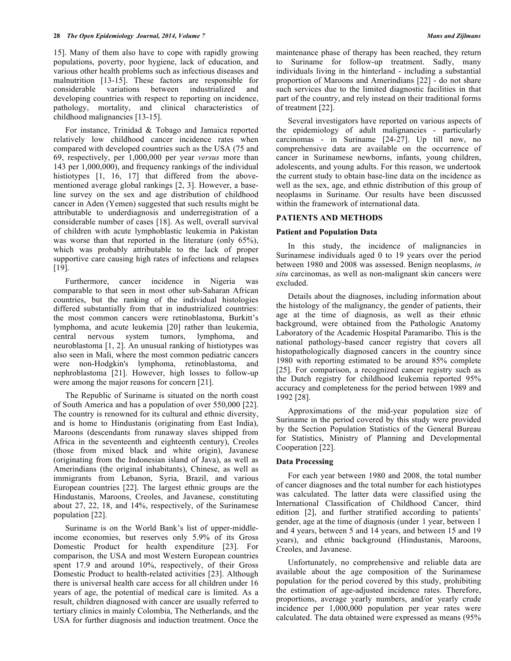15]. Many of them also have to cope with rapidly growing populations, poverty, poor hygiene, lack of education, and various other health problems such as infectious diseases and malnutrition [13-15]. These factors are responsible for considerable variations between industrialized and developing countries with respect to reporting on incidence, pathology, mortality, and clinical characteristics of childhood malignancies [13-15].

For instance, Trinidad & Tobago and Jamaica reported relatively low childhood cancer incidence rates when compared with developed countries such as the USA (75 and 69, respectively, per 1,000,000 per year *versus* more than 143 per 1,000,000), and frequency rankings of the individual histiotypes [1, 16, 17] that differed from the abovementioned average global rankings [2, 3]. However, a baseline survey on the sex and age distribution of childhood cancer in Aden (Yemen) suggested that such results might be attributable to underdiagnosis and underregistration of a considerable number of cases [18]. As well, overall survival of children with acute lymphoblastic leukemia in Pakistan was worse than that reported in the literature (only 65%), which was probably attributable to the lack of proper supportive care causing high rates of infections and relapses [19].

Furthermore, cancer incidence in Nigeria was comparable to that seen in most other sub-Saharan African countries, but the ranking of the individual histologies differed substantially from that in industrialized countries: the most common cancers were retinoblastoma, Burkitt's lymphoma, and acute leukemia [20] rather than leukemia, central nervous system tumors, lymphoma, and neuroblastoma [1, 2]. An unusual ranking of histiotypes was also seen in Mali, where the most common pediatric cancers were non-Hodgkin's lymphoma, retinoblastoma, and nephroblastoma [21]. However, high losses to follow-up were among the major reasons for concern [21].

The Republic of Suriname is situated on the north coast of South America and has a population of over 550,000 [22]. The country is renowned for its cultural and ethnic diversity, and is home to Hindustanis (originating from East India), Maroons (descendants from runaway slaves shipped from Africa in the seventeenth and eighteenth century), Creoles (those from mixed black and white origin), Javanese (originating from the Indonesian island of Java), as well as Amerindians (the original inhabitants), Chinese, as well as immigrants from Lebanon, Syria, Brazil, and various European countries [22]. The largest ethnic groups are the Hindustanis, Maroons, Creoles, and Javanese, constituting about 27, 22, 18, and 14%, respectively, of the Surinamese population [22].

Suriname is on the World Bank's list of upper-middleincome economies, but reserves only 5.9% of its Gross Domestic Product for health expenditure [23]. For comparison, the USA and most Western European countries spent 17.9 and around 10%, respectively, of their Gross Domestic Product to health-related activities [23]. Although there is universal health care access for all children under 16 years of age, the potential of medical care is limited. As a result, children diagnosed with cancer are usually referred to tertiary clinics in mainly Colombia, The Netherlands, and the USA for further diagnosis and induction treatment. Once the

maintenance phase of therapy has been reached, they return to Suriname for follow-up treatment. Sadly, many individuals living in the hinterland - including a substantial proportion of Maroons and Amerindians [22] - do not share such services due to the limited diagnostic facilities in that part of the country, and rely instead on their traditional forms of treatment [22].

Several investigators have reported on various aspects of the epidemiology of adult malignancies - particularly carcinomas - in Suriname [24-27]. Up till now, no comprehensive data are available on the occurrence of cancer in Surinamese newborns, infants, young children, adolescents, and young adults. For this reason, we undertook the current study to obtain base-line data on the incidence as well as the sex, age, and ethnic distribution of this group of neoplasms in Suriname. Our results have been discussed within the framework of international data.

## **PATIENTS AND METHODS**

#### **Patient and Population Data**

In this study, the incidence of malignancies in Surinamese individuals aged 0 to 19 years over the period between 1980 and 2008 was assessed. Benign neoplasms, *in situ* carcinomas, as well as non-malignant skin cancers were excluded.

Details about the diagnoses, including information about the histology of the malignancy, the gender of patients, their age at the time of diagnosis, as well as their ethnic background, were obtained from the Pathologic Anatomy Laboratory of the Academic Hospital Paramaribo. This is the national pathology-based cancer registry that covers all histopathologically diagnosed cancers in the country since 1980 with reporting estimated to be around 85% complete [25]. For comparison, a recognized cancer registry such as the Dutch registry for childhood leukemia reported 95% accuracy and completeness for the period between 1989 and 1992 [28].

Approximations of the mid-year population size of Suriname in the period covered by this study were provided by the Section Population Statistics of the General Bureau for Statistics, Ministry of Planning and Developmental Cooperation [22].

#### **Data Processing**

For each year between 1980 and 2008, the total number of cancer diagnoses and the total number for each histiotypes was calculated. The latter data were classified using the International Classification of Childhood Cancer, third edition [2], and further stratified according to patients' gender, age at the time of diagnosis (under 1 year, between 1 and 4 years, between 5 and 14 years, and between 15 and 19 years), and ethnic background (Hindustanis, Maroons, Creoles, and Javanese.

Unfortunately, no comprehensive and reliable data are available about the age composition of the Surinamese population for the period covered by this study, prohibiting the estimation of age-adjusted incidence rates. Therefore, proportions, average yearly numbers, and/or yearly crude incidence per 1,000,000 population per year rates were calculated. The data obtained were expressed as means (95%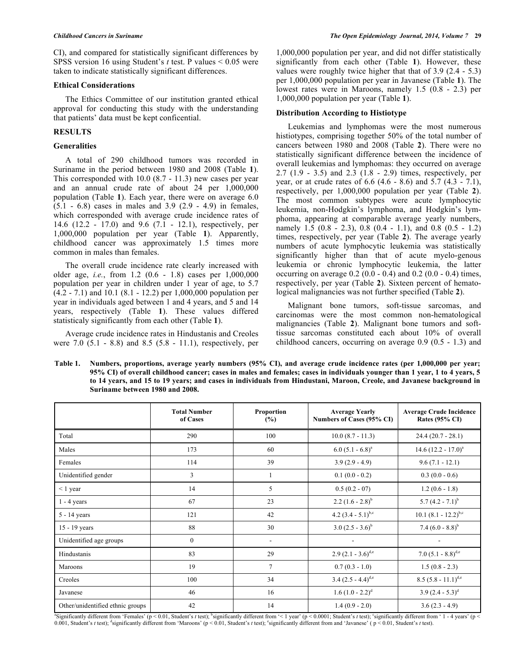CI), and compared for statistically significant differences by SPSS version 16 using Student's *t* test. P values < 0.05 were taken to indicate statistically significant differences.

#### **Ethical Considerations**

The Ethics Committee of our institution granted ethical approval for conducting this study with the understanding that patients' data must be kept conficential.

## **RESULTS**

#### **Generalities**

A total of 290 childhood tumors was recorded in Suriname in the period between 1980 and 2008 (Table **1**). This corresponded with 10.0 (8.7 - 11.3) new cases per year and an annual crude rate of about 24 per 1,000,000 population (Table **1**). Each year, there were on average 6.0 (5.1 - 6.8) cases in males and 3.9 (2.9 - 4.9) in females, which corresponded with average crude incidence rates of 14.6 (12.2 - 17.0) and 9.6 (7.1 - 12.1), respectively, per 1,000,000 population per year (Table **1**). Apparently, childhood cancer was approximately 1.5 times more common in males than females.

The overall crude incidence rate clearly increased with older age, *i.e.*, from 1.2 (0.6 - 1.8) cases per 1,000,000 population per year in children under 1 year of age, to 5.7 (4.2 - 7.1) and 10.1 (8.1 - 12.2) per 1,000,000 population per year in individuals aged between 1 and 4 years, and 5 and 14 years, respectively (Table **1**). These values differed statisticaly significantly from each other (Table **1**).

Average crude incidence rates in Hindustanis and Creoles were 7.0 (5.1 - 8.8) and 8.5 (5.8 - 11.1), respectively, per 1,000,000 population per year, and did not differ statistically significantly from each other (Table **1**). However, these values were roughly twice higher that that of 3.9 (2.4 - 5.3) per 1,000,000 population per year in Javanese (Table **1**). The lowest rates were in Maroons, namely 1.5 (0.8 - 2.3) per 1,000,000 population per year (Table **1**).

## **Distribution According to Histiotype**

Leukemias and lymphomas were the most numerous histiotypes, comprising together 50% of the total number of cancers between 1980 and 2008 (Table **2**). There were no statistically significant difference between the incidence of overall leukemias and lymphomas: they occurred on average 2.7 (1.9 - 3.5) and 2.3 (1.8 - 2.9) times, respectively, per year, or at crude rates of 6.6 (4.6 - 8.6) and 5.7 (4.3 - 7.1), respectively, per 1,000,000 population per year (Table **2**). The most common subtypes were acute lymphocytic leukemia, non-Hodgkin's lymphoma, and Hodgkin's lymphoma, appearing at comparable average yearly numbers, namely 1.5 (0.8 - 2.3), 0.8 (0.4 - 1.1), and 0.8 (0.5 - 1.2) times, respectively, per year (Table **2**). The average yearly numbers of acute lymphocytic leukemia was statistically significantly higher than that of acute myelo-genous leukemia or chronic lymphocytic leukemia, the latter occurring on average 0.2 (0.0 - 0.4) and 0.2 (0.0 - 0.4) times, respectively, per year (Table **2**). Sixteen percent of hematological malignancies was not further specified (Table **2**).

Malignant bone tumors, soft-tissue sarcomas, and carcinomas were the most common non-hematological malignancies (Table **2**). Malignant bone tumors and softtissue sarcomas constituted each about 10% of overall childhood cancers, occurring on average 0.9 (0.5 - 1.3) and

**Table 1. Numbers, proportions, average yearly numbers (95% CI), and average crude incidence rates (per 1,000,000 per year; 95% CI) of overall childhood cancer; cases in males and females; cases in individuals younger than 1 year, 1 to 4 years, 5 to 14 years, and 15 to 19 years; and cases in individuals from Hindustani, Maroon, Creole, and Javanese background in Suriname between 1980 and 2008.**

|                                  | <b>Total Number</b><br>of Cases | Proportion<br>(%)        | <b>Average Yearly</b><br>Numbers of Cases (95% CI) | <b>Average Crude Incidence</b><br><b>Rates (95% CI)</b> |
|----------------------------------|---------------------------------|--------------------------|----------------------------------------------------|---------------------------------------------------------|
| Total                            | 290                             | 100                      | $10.0 (8.7 - 11.3)$                                | $24.4(20.7 - 28.1)$                                     |
| Males                            | 173                             | 60                       | $6.0 (5.1 - 6.8)^a$                                | 14.6 $(12.2 - 17.0)^a$                                  |
| Females                          | 114                             | 39                       | $3.9(2.9 - 4.9)$                                   | $9.6(7.1 - 12.1)$                                       |
| Unidentified gender              | 3                               |                          | $0.1(0.0 - 0.2)$                                   | $0.3(0.0 - 0.6)$                                        |
| $< 1$ year                       | 14                              | 5                        | $0.5(0.2 - 07)$                                    | $1.2(0.6 - 1.8)$                                        |
| $1 - 4$ years                    | 67                              | 23                       | 2.2 $(1.6 - 2.8)^{b}$                              | 5.7 $(4.2 - 7.1)^{b}$                                   |
| 5 - 14 years                     | 121                             | 42                       | 4.2 $(3.4 - 5.1)^{b,c}$                            | $10.1 (8.1 - 12.2)^{b,c}$                               |
| 15 - 19 years                    | 88                              | 30                       | $3.0 (2.5 - 3.6)^b$                                | 7.4 $(6.0 - 8.8)^{b}$                                   |
| Unidentified age groups          | $\boldsymbol{0}$                | $\overline{\phantom{a}}$ |                                                    |                                                         |
| Hindustanis                      | 83                              | 29                       | $2.9 (2.1 - 3.6)^{d,e}$                            | 7.0 $(5.1 - 8.8)^{d,e}$                                 |
| Maroons                          | 19                              | 7                        | $0.7(0.3 - 1.0)$                                   | $1.5(0.8 - 2.3)$                                        |
| Creoles                          | 100                             | 34                       | 3.4 $(2.5 - 4.4)^{d,e}$                            | $8.5 (5.8 - 11.1)^{d,e}$                                |
| Javanese                         | 46                              | 16                       | $1.6 (1.0 - 2.2)^d$                                | $3.9(2.4 - 5.3)^d$                                      |
| Other/unidentified ethnic groups | 42                              | 14                       | $1.4(0.9 - 2.0)$                                   | $3.6(2.3 - 4.9)$                                        |

<sup>8</sup>Significantly different from 'Females' (p < 0.01, Student's *t* test); <sup>b</sup>significantly different from '< 1 year' (p < 0.0001; Student's *t* test); <sup>c</sup>significantly different from '1 - 4 years' (p < 0.001, Student's *t* test); dispirificantly different from 'Maroons' (p < 0.01, Student's *t* test); espirificantly different from and 'Javanese' (p < 0.01, Student's *t* test).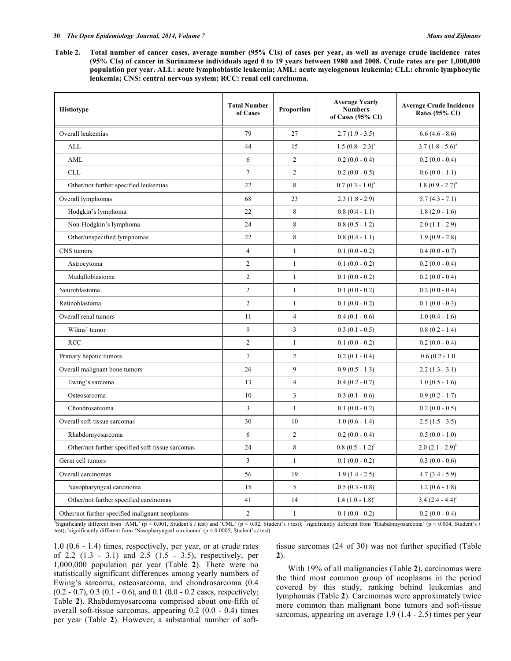**Table 2. Total number of cancer cases, average number (95% CIs) of cases per year, as well as average crude incidence rates (95% CIs) of cancer in Surinamese individuals aged 0 to 19 years between 1980 and 2008. Crude rates are per 1,000,000 population per year. ALL: acute lymphoblastic leukemia; AML: acute myelogenous leukemia; CLL: chronic lymphocytic leukemia; CNS: central nervous system; RCC: renal cell carcinoma.**

| <b>Histiotype</b>                                | <b>Total Number</b><br>of Cases | Proportion     | <b>Average Yearly</b><br><b>Numbers</b><br>of Cases $(95\% \text{ CI})$ | <b>Average Crude Incidence</b><br><b>Rates (95% CI)</b> |  |
|--------------------------------------------------|---------------------------------|----------------|-------------------------------------------------------------------------|---------------------------------------------------------|--|
| Overall leukemias                                | 79                              | 27             | $2.7(1.9 - 3.5)$                                                        | $6.6(4.6 - 8.6)$                                        |  |
| <b>ALL</b>                                       | 44                              | 15             | $1.5 (0.8 - 2.3)^a$                                                     | $3.7(1.8-5.6)^a$                                        |  |
| AML                                              | 6                               | $\overline{2}$ | $0.2(0.0 - 0.4)$                                                        | $0.2(0.0 - 0.4)$                                        |  |
| <b>CLL</b>                                       | $\overline{7}$                  | $\overline{2}$ | $0.2(0.0 - 0.5)$                                                        | $0.6(0.0 - 1.1)$                                        |  |
| Other/not further specified leukemias            | 22                              | 8              | $0.7(0.3 - 1.0)^a$                                                      | 1.8 $(0.9 - 2.7)^a$                                     |  |
| Overall lymphomas                                | 68                              | 23             | $2.3(1.8 - 2.9)$                                                        | $5.7(4.3 - 7.1)$                                        |  |
| Hodgkin's lymphoma                               | 22                              | 8              | $0.8(0.4 - 1.1)$                                                        | $1.8(2.0 - 1.6)$                                        |  |
| Non-Hodgkin's lymphoma                           | 24                              | 8              | $0.8(0.5 - 1.2)$                                                        | $2.0(1.1 - 2.9)$                                        |  |
| Other/unspecified lymphomas                      | 22                              | 8              | $0.8(0.4 - 1.1)$                                                        | $1.9(0.9 - 2.8)$                                        |  |
| CNS tumors                                       | $\overline{4}$                  | $\mathbf{1}$   | $0.1(0.0 - 0.2)$                                                        | $0.4(0.0 - 0.7)$                                        |  |
| Astrocytoma                                      | $\overline{2}$                  | $\mathbf{1}$   | $0.1(0.0 - 0.2)$                                                        | $0.2(0.0 - 0.4)$                                        |  |
| Medulloblastoma                                  | $\overline{2}$                  | $\mathbf{1}$   | $0.1(0.0 - 0.2)$                                                        | $0.2(0.0 - 0.4)$                                        |  |
| Neuroblastoma                                    | $\overline{c}$                  | $\mathbf{1}$   | $0.1(0.0 - 0.2)$                                                        | $0.2(0.0 - 0.4)$                                        |  |
| Retinoblastoma                                   | $\overline{c}$                  | $\mathbf{1}$   | $0.1(0.0 - 0.2)$                                                        | $0.1(0.0 - 0.3)$                                        |  |
| Overall renal tumors                             | 11                              | $\overline{4}$ | $0.4(0.1 - 0.6)$                                                        | $1.0(0.4 - 1.6)$                                        |  |
| Wilms' tumor                                     | 9                               | $\mathfrak{Z}$ | $0.3(0.1 - 0.5)$                                                        | $0.8(0.2 - 1.4)$                                        |  |
| <b>RCC</b>                                       | $\overline{2}$                  | $\mathbf{1}$   | $0.1(0.0 - 0.2)$                                                        | $0.2(0.0 - 0.4)$                                        |  |
| Primary hepatic tumors                           | $\tau$                          | $\overline{2}$ | $0.2(0.1 - 0.4)$                                                        | $0.6(0.2 - 1.0)$                                        |  |
| Overall malignant bone tumors                    | 26                              | 9              | $0.9(0.5 - 1.3)$                                                        | $2.2(1.3 - 3.1)$                                        |  |
| Ewing's sarcoma                                  | 13                              | $\overline{4}$ | $0.4(0.2 - 0.7)$                                                        | $1.0(0.5 - 1.6)$                                        |  |
| Osteosarcoma                                     | 10                              | 3              | $0.3(0.1 - 0.6)$                                                        | $0.9(0.2 - 1.7)$                                        |  |
| Chondrosarcoma                                   | 3                               | $\mathbf{1}$   | $0.1(0.0 - 0.2)$                                                        | $0.2(0.0 - 0.5)$                                        |  |
| Overall soft-tissue sarcomas                     | 30                              | 10             | $1.0(0.6 - 1.4)$                                                        | $2.5(1.5 - 3.5)$                                        |  |
| Rhabdomyosarcoma                                 | 6                               | $\overline{2}$ | $0.2(0.0 - 0.4)$                                                        | $0.5(0.0 - 1.0)$                                        |  |
| Other/not further specified soft-tissue sarcomas | 24                              | 8              | $0.8 (0.5 - 1.2)^{b}$                                                   | $2.0 (2.1 - 2.9)^{b}$                                   |  |
| Germ cell tumors                                 | 3                               | $\mathbf{1}$   | $0.1(0.0 - 0.2)$                                                        | $0.3(0.0 - 0.6)$                                        |  |
| Overall carcinomas                               | 56                              | 19             | $1.9(1.4 - 2.5)$                                                        | $4.7(3.4 - 5.9)$                                        |  |
| Nasopharyngeal carcinoma                         | 15                              | 5              | $0.5(0.3 - 0.8)$                                                        | $1.2(0.6 - 1.8)$                                        |  |
| Other/not further specified carcinomas           | 41                              | 14             | $1.4(1.0-1.8)^{\circ}$                                                  | $3.4 (2.4 - 4.4)^c$                                     |  |
| Other/not further specified malignant neoplasms  | $\overline{c}$                  | $\mathbf{1}$   | $0.1(0.0 - 0.2)$                                                        | $0.2(0.0 - 0.4)$                                        |  |

a Significantly different from 'AML' (p < 0.001, Student's *t* test) and 'CML' (p < 0.02, Student's *t* test); <sup>b</sup> significantly different from 'Rhabdomyosarcoma' (p < 0.004, Student's *t* test); <sup>c</sup>significantly different from 'Nasopharyngeal carcinoma' (p < 0.0005; Student's *t* test).

1.0 (0.6 - 1.4) times, respectively, per year, or at crude rates of 2.2 (1.3 - 3.1) and 2.5 (1.5 - 3.5), respectively, per 1,000,000 population per year (Table **2**). There were no statistically significant differences among yearly numbers of Ewing's sarcoma, osteosarcoma, and chondrosarcoma (0.4 (0.2 - 0.7), 0.3 (0.1 - 0.6), and 0.1 (0.0 - 0.2 cases, respectively; Table **2**). Rhabdomyosarcoma comprised about one-fifth of overall soft-tissue sarcomas, appearing 0.2 (0.0 - 0.4) times per year (Table **2**). However, a substantial number of softtissue sarcomas (24 of 30) was not further specified (Table **2**).

With 19% of all malignancies (Table **2**), carcinomas were the third most common group of neoplasms in the period covered by this study, ranking behind leukemias and lymphomas (Table **2**). Carcinomas were approximately twice more common than malignant bone tumors and soft-tissue sarcomas, appearing on average 1.9 (1.4 - 2.5) times per year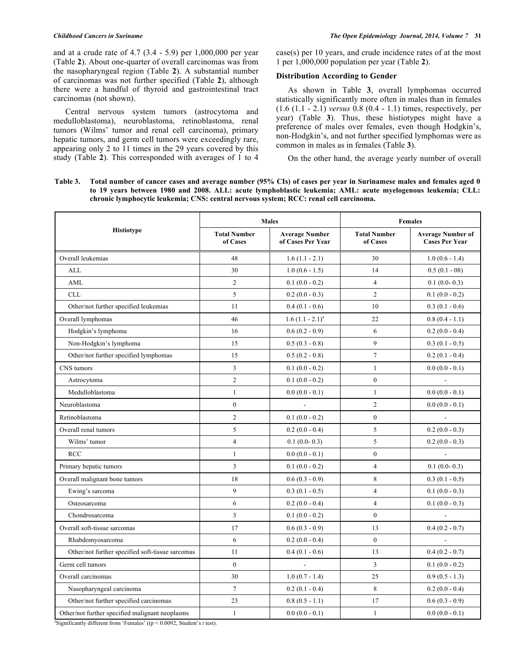and at a crude rate of 4.7 (3.4 - 5.9) per 1,000,000 per year (Table **2**). About one-quarter of overall carcinomas was from the nasopharyngeal region (Table **2**). A substantial number of carcinomas was not further specified (Table **2**), although there were a handful of thyroid and gastrointestinal tract carcinomas (not shown).

Central nervous system tumors (astrocytoma and medulloblastoma), neuroblastoma, retinoblastoma, renal tumors (Wilms' tumor and renal cell carcinoma), primary hepatic tumors, and germ cell tumors were exceedingly rare, appearing only 2 to 11 times in the 29 years covered by this study (Table **2**). This corresponded with averages of 1 to 4

case(s) per 10 years, and crude incidence rates of at the most 1 per 1,000,000 population per year (Table **2**).

## **Distribution According to Gender**

As shown in Table **3**, overall lymphomas occurred statistically significantly more often in males than in females (1.6 (1.1 - 2.1) *versus* 0.8 (0.4 - 1.1) times, respectively, per year) (Table **3**). Thus, these histiotypes might have a preference of males over females, even though Hodgkin's, non-Hodgkin's, and not further specified lymphomas were as common in males as in females (Table **3**).

On the other hand, the average yearly number of overall

**Table 3. Total number of cancer cases and average number (95% CIs) of cases per year in Surinamese males and females aged 0 to 19 years between 1980 and 2008. ALL: acute lymphoblastic leukemia; AML: acute myelogenous leukemia; CLL: chronic lymphocytic leukemia; CNS: central nervous system; RCC: renal cell carcinoma.**

|                                                  |                                 | <b>Males</b>                               | <b>Females</b>                  |                                                   |  |
|--------------------------------------------------|---------------------------------|--------------------------------------------|---------------------------------|---------------------------------------------------|--|
| <b>Histiotype</b>                                | <b>Total Number</b><br>of Cases | <b>Average Number</b><br>of Cases Per Year | <b>Total Number</b><br>of Cases | <b>Average Number of</b><br><b>Cases Per Year</b> |  |
| Overall leukemias                                | 48                              | $1.6(1.1 - 2.1)$                           | 30                              | $1.0(0.6 - 1.4)$                                  |  |
| <b>ALL</b>                                       | 30                              | $1.0(0.6 - 1.5)$                           | 14                              | $0.5(0.1 - 08)$                                   |  |
| AML                                              | $\overline{c}$                  | $0.1(0.0 - 0.2)$                           | $\overline{4}$                  | $0.1(0.0-0.3)$                                    |  |
| <b>CLL</b>                                       | 5                               | $0.2(0.0 - 0.3)$                           | $\overline{2}$                  | $0.1(0.0 - 0.2)$                                  |  |
| Other/not further specified leukemias            | 11                              | $0.4(0.1 - 0.6)$                           | 10                              | $0.3(0.1 - 0.6)$                                  |  |
| Overall lymphomas                                | 46                              | $1.6 (1.1 - 2.1)^a$                        | 22                              | $0.8(0.4 - 1.1)$                                  |  |
| Hodgkin's lymphoma                               | 16                              | $0.6(0.2 - 0.9)$                           | 6                               | $0.2(0.0 - 0.4)$                                  |  |
| Non-Hodgkin's lymphoma                           | 15                              | $0.5(0.3 - 0.8)$                           | $\mathbf{9}$                    | $0.3(0.1 - 0.5)$                                  |  |
| Other/not further specified lymphomas            | 15                              | $0.5(0.2 - 0.8)$                           | $\boldsymbol{7}$                | $0.2(0.1 - 0.4)$                                  |  |
| CNS tumors                                       | $\overline{3}$                  | $0.1(0.0 - 0.2)$                           | $\mathbf{1}$                    | $0.0(0.0 - 0.1)$                                  |  |
| Astrocytoma                                      | $\sqrt{2}$                      | $0.1(0.0 - 0.2)$                           | $\boldsymbol{0}$                |                                                   |  |
| Medulloblastoma                                  | $\mathbf{1}$                    | $0.0(0.0 - 0.1)$                           | $\mathbf{1}$                    | $0.0(0.0 - 0.1)$                                  |  |
| Neuroblastoma                                    | $\mathbf{0}$                    | $\overline{\phantom{a}}$                   | $\overline{2}$                  | $0.0(0.0 - 0.1)$                                  |  |
| Retinoblastoma                                   | $\overline{2}$                  | $0.1(0.0 - 0.2)$                           | $\boldsymbol{0}$                |                                                   |  |
| Overall renal tumors                             | 5                               | $0.2(0.0 - 0.4)$                           | 5                               | $0.2(0.0 - 0.3)$                                  |  |
| Wilms' tumor                                     | $\overline{4}$                  | $0.1(0.0-0.3)$                             | 5                               | $0.2(0.0 - 0.3)$                                  |  |
| <b>RCC</b>                                       | $\mathbf{1}$                    | $0.0(0.0 - 0.1)$                           | $\boldsymbol{0}$                | $\overline{\phantom{a}}$                          |  |
| Primary hepatic tumors                           | $\overline{3}$                  | $0.1(0.0 - 0.2)$                           | $\overline{4}$                  | $0.1(0.0-0.3)$                                    |  |
| Overall malignant bone tumors                    | 18                              | $0.6(0.3 - 0.9)$                           | $\,8\,$                         | $0.3(0.1 - 0.5)$                                  |  |
| Ewing's sarcoma                                  | 9                               | $0.3(0.1 - 0.5)$                           | $\overline{4}$                  | $0.1(0.0 - 0.3)$                                  |  |
| Osteosarcoma                                     | 6                               | $0.2(0.0 - 0.4)$                           | $\overline{4}$                  | $0.1(0.0 - 0.3)$                                  |  |
| Chondrosarcoma                                   | $\mathfrak{Z}$                  | $0.1(0.0 - 0.2)$                           | $\mathbf{0}$                    |                                                   |  |
| Overall soft-tissue sarcomas                     | 17                              | $0.6(0.3 - 0.9)$                           | 13                              | $0.4(0.2 - 0.7)$                                  |  |
| Rhabdomyosarcoma                                 | 6                               | $0.2(0.0 - 0.4)$                           | $\boldsymbol{0}$                |                                                   |  |
| Other/not further specified soft-tissue sarcomas | 11                              | $0.4(0.1 - 0.6)$                           | 13                              | $0.4(0.2 - 0.7)$                                  |  |
| Germ cell tumors                                 | $\mathbf{0}$                    |                                            | $\overline{3}$                  | $0.1(0.0 - 0.2)$                                  |  |
| Overall carcinomas                               | 30                              | $1.0(0.7 - 1.4)$                           | 25                              | $0.9(0.5 - 1.3)$                                  |  |
| Nasopharyngeal carcinoma                         | $\overline{7}$                  | $0.2(0.1 - 0.4)$                           | $\,8\,$                         | $0.2(0.0 - 0.4)$                                  |  |
| Other/not further specified carcinomas           | 23                              | $0.8(0.5 - 1.1)$                           | 17                              | $0.6(0.3 - 0.9)$                                  |  |
| Other/not further specified malignant neoplasms  | $\mathbf{1}$                    | $0.0(0.0 - 0.1)$                           | $\mathbf{1}$                    | $0.0(0.0 - 0.1)$                                  |  |

<sup>a</sup>Significantly different from 'Females' ( $(p < 0.0092$ , Student's *t* test).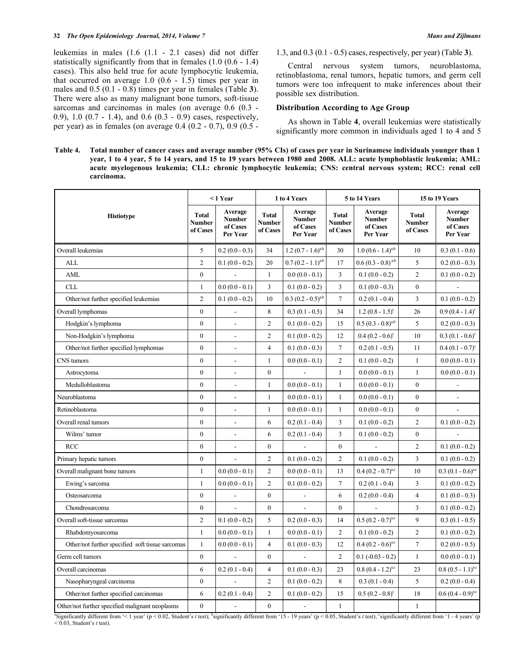leukemias in males (1.6 (1.1 - 2.1 cases) did not differ statistically significantly from that in females (1.0 (0.6 - 1.4) cases). This also held true for acute lymphocytic leukemia, that occurred on average  $1.0$   $(0.6 - 1.5)$  times per year in males and 0.5 (0.1 - 0.8) times per year in females (Table **3**). There were also as many malignant bone tumors, soft-tissue sarcomas and carcinomas in males (on average 0.6 (0.3 - 0.9), 1.0 (0.7 - 1.4), and 0.6 (0.3 - 0.9) cases, respectively, per year) as in females (on average 0.4 (0.2 - 0.7), 0.9 (0.5 -

1.3, and 0.3 (0.1 - 0.5) cases, respectively, per year) (Table **3**).

Central nervous system tumors, neuroblastoma, retinoblastoma, renal tumors, hepatic tumors, and germ cell tumors were too infrequent to make inferences about their possible sex distribution.

## **Distribution According to Age Group**

As shown in Table **4**, overall leukemias were statistically significantly more common in individuals aged 1 to 4 and 5

**Table 4. Total number of cancer cases and average number (95% CIs) of cases per year in Surinamese individuals younger than 1 year, 1 to 4 year, 5 to 14 years, and 15 to 19 years between 1980 and 2008. ALL: acute lymphoblastic leukemia; AML: acute myelogenous leukemia; CLL: chronic lymphocytic leukemia; CNS: central nervous system; RCC: renal cell carcinoma.**

|                                                  | $< 1$ Year                         |                                                  | 1 to 4 Years                       |                                                  | 5 to 14 Years                      |                                                  | 15 to 19 Years                            |                                                  |
|--------------------------------------------------|------------------------------------|--------------------------------------------------|------------------------------------|--------------------------------------------------|------------------------------------|--------------------------------------------------|-------------------------------------------|--------------------------------------------------|
| <b>Histiotype</b>                                | <b>Total</b><br>Number<br>of Cases | Average<br><b>Number</b><br>of Cases<br>Per Year | <b>Total</b><br>Number<br>of Cases | Average<br><b>Number</b><br>of Cases<br>Per Year | <b>Total</b><br>Number<br>of Cases | Average<br><b>Number</b><br>of Cases<br>Per Year | <b>Total</b><br><b>Number</b><br>of Cases | Average<br><b>Number</b><br>of Cases<br>Per Year |
| Overall leukemias                                | 5                                  | $0.2(0.0 - 0.3)$                                 | 34                                 | $1.2 (0.7 - 1.6)^{a,b}$                          | 30                                 | $1.0 (0.6 - 1.4)^{a,b}$                          | 10                                        | $0.3(0.1 - 0.6)$                                 |
| <b>ALL</b>                                       | $\overline{2}$                     | $0.1(0.0 - 0.2)$                                 | 20                                 | $0.7(0.2 - 1.1)^{a,b}$                           | 17                                 | $0.6 (0.3 - 0.8)^{a,b}$                          | 5                                         | $0.2(0.0 - 0.3)$                                 |
| AML                                              | $\boldsymbol{0}$                   |                                                  | $\mathbf{1}$                       | $0.0(0.0 - 0.1)$                                 | 3                                  | $0.1(0.0 - 0.2)$                                 | $\overline{2}$                            | $0.1(0.0 - 0.2)$                                 |
| <b>CLL</b>                                       | $\mathbf{1}$                       | $0.0(0.0 - 0.1)$                                 | $\overline{3}$                     | $0.1(0.0 - 0.2)$                                 | 3                                  | $0.1(0.0 - 0.3)$                                 | $\mathbf{0}$                              |                                                  |
| Other/not further specified leukemias            | $\overline{c}$                     | $0.1(0.0 - 0.2)$                                 | 10                                 | $0.3 (0.2 - 0.5)^{a,b}$                          | $\tau$                             | $0.2(0.1 - 0.4)$                                 | 3                                         | $0.1(0.0 - 0.2)$                                 |
| Overall lymphomas                                | $\mathbf{0}$                       |                                                  | 8                                  | $0.3(0.1 - 0.5)$                                 | 34                                 | $1.2(0.8 - 1.5)^{c}$                             | 26                                        | $0.9(0.4 - 1.4)^c$                               |
| Hodgkin's lymphoma                               | $\overline{0}$                     | ÷,                                               | $\overline{2}$                     | $0.1(0.0 - 0.2)$                                 | 15                                 | $0.5 (0.3 - 0.8)^{a,b}$                          | 5                                         | $0.2(0.0 - 0.3)$                                 |
| Non-Hodgkin's lymphoma                           | $\boldsymbol{0}$                   | L,                                               | $\overline{2}$                     | $0.1(0.0 - 0.2)$                                 | 12                                 | $0.4(0.2 - 0.6)^c$                               | 10                                        | $0.3(0.1 - 0.6)^c$                               |
| Other/not further specified lymphomas            | $\mathbf{0}$                       | $\overline{\phantom{a}}$                         | $\overline{4}$                     | $0.1(0.0 - 0.3)$                                 | $\tau$                             | $0.2(0.1 - 0.5)$                                 | 11                                        | $0.4(0.1 - 0.7)^c$                               |
| CNS tumors                                       | $\boldsymbol{0}$                   | $\blacksquare$                                   | $\mathbf{1}$                       | $0.0(0.0 - 0.1)$                                 | $\overline{c}$                     | $0.1(0.0 - 0.2)$                                 | $\mathbf{1}$                              | $0.0(0.0 - 0.1)$                                 |
| Astrocytoma                                      | $\boldsymbol{0}$                   | $\overline{a}$                                   | $\boldsymbol{0}$                   | $\frac{1}{2}$                                    | $\mathbf{1}$                       | $0.0(0.0 - 0.1)$                                 | $\mathbf{1}$                              | $0.0(0.0 - 0.1)$                                 |
| Medulloblastoma                                  | $\overline{0}$                     | L,                                               | $\mathbf{1}$                       | $0.0(0.0 - 0.1)$                                 | $\mathbf{1}$                       | $0.0(0.0 - 0.1)$                                 | $\mathbf{0}$                              |                                                  |
| Neuroblastoma                                    | $\overline{0}$                     | ÷,                                               | $\mathbf{1}$                       | $0.0(0.0 - 0.1)$                                 | $\mathbf{1}$                       | $0.0(0.0 - 0.1)$                                 | $\mathbf{0}$                              |                                                  |
| Retinoblastoma                                   | $\overline{0}$                     |                                                  | $\mathbf{1}$                       | $0.0(0.0 - 0.1)$                                 | $\mathbf{1}$                       | $0.0(0.0 - 0.1)$                                 | $\mathbf{0}$                              |                                                  |
| Overall renal tumors                             | $\boldsymbol{0}$                   | $\blacksquare$                                   | 6                                  | $0.2(0.1 - 0.4)$                                 | 3                                  | $0.1(0.0 - 0.2)$                                 | $\overline{2}$                            | $0.1(0.0 - 0.2)$                                 |
| Wilms' tumor                                     | $\mathbf{0}$                       | ÷,                                               | 6                                  | $0.2(0.1 - 0.4)$                                 | 3                                  | $0.1(0.0 - 0.2)$                                 | $\mathbf{0}$                              |                                                  |
| RCC                                              | $\boldsymbol{0}$                   | $\overline{a}$                                   | $\boldsymbol{0}$                   |                                                  | $\boldsymbol{0}$                   |                                                  | $\overline{c}$                            | $0.1(0.0 - 0.2)$                                 |
| Primary hepatic tumors                           | $\overline{0}$                     |                                                  | $\overline{2}$                     | $0.1(0.0 - 0.2)$                                 | $\overline{2}$                     | $0.1(0.0 - 0.2)$                                 | $\overline{3}$                            | $0.1(0.0 - 0.2)$                                 |
| Overall malignant bone tumors                    | $\mathbf{1}$                       | $0.0(0.0 - 0.1)$                                 | $\overline{2}$                     | $0.0(0.0 - 0.1)$                                 | 13                                 | $0.4 (0.2 - 0.7)^{a,c}$                          | 10                                        | $0.3 (0.1 - 0.6)^{a,c}$                          |
| Ewing's sarcoma                                  | $\mathbf{1}$                       | $0.0(0.0 - 0.1)$                                 | $\overline{c}$                     | $0.1(0.0 - 0.2)$                                 | $\tau$                             | $0.2(0.1 - 0.4)$                                 | 3                                         | $0.1(0.0 - 0.2)$                                 |
| Osteosarcoma                                     | $\boldsymbol{0}$                   | $\overline{\phantom{a}}$                         | $\boldsymbol{0}$                   | $\overline{\phantom{a}}$                         | 6                                  | $0.2(0.0 - 0.4)$                                 | $\overline{4}$                            | $0.1(0.0 - 0.3)$                                 |
| Chondrosarcoma                                   | $\boldsymbol{0}$                   | L.                                               | $\boldsymbol{0}$                   | $\overline{\phantom{a}}$                         | $\boldsymbol{0}$                   | $\overline{a}$                                   | 3                                         | $0.1(0.0 - 0.2)$                                 |
| Overall soft-tissue sarcomas                     | $\overline{\mathbf{c}}$            | $0.1(0.0 - 0.2)$                                 | 5                                  | $0.2(0.0 - 0.3)$                                 | 14                                 | $0.5 (0.2 - 0.7)^{a,c}$                          | 9                                         | $0.3(0.1 - 0.5)$                                 |
| Rhabdomyosarcoma                                 | $\mathbf{1}$                       | $0.0(0.0 - 0.1)$                                 | $\mathbf{1}$                       | $0.0(0.0 - 0.1)$                                 | $\overline{c}$                     | $0.1(0.0 - 0.2)$                                 | $\overline{2}$                            | $0.1(0.0 - 0.2)$                                 |
| Other/not further specified soft tissue sarcomas | $\mathbf{1}$                       | $0.0(0.0 - 0.1)$                                 | $\overline{4}$                     | $0.1(0.0 - 0.3)$                                 | 12                                 | $0.4 (0.2 - 0.6)^{a,c}$                          | $\overline{7}$                            | $0.2(0.0 - 0.5)$                                 |
| Germ cell tumors                                 | $\boldsymbol{0}$                   |                                                  | $\boldsymbol{0}$                   |                                                  | $\overline{c}$                     | $0.1 (-0.03 - 0.2)$                              | $\mathbf{1}$                              | $0.0(0.0 - 0.1)$                                 |
| Overall carcinomas                               | 6                                  | $0.2(0.1 - 0.4)$                                 | $\overline{4}$                     | $0.1(0.0 - 0.3)$                                 | 23                                 | $0.8 (0.4 - 1.2)^{a,c}$                          | 23                                        | $0.8 (0.5 - 1.1)^{a,c}$                          |
| Nasopharyngeal carcinoma                         | $\boldsymbol{0}$                   |                                                  | $\overline{c}$                     | $0.1(0.0 - 0.2)$                                 | 8                                  | $0.3(0.1 - 0.4)$                                 | 5                                         | $0.2(0.0 - 0.4)$                                 |
| Other/not further specified carcinomas           | 6                                  | $0.2(0.1 - 0.4)$                                 | $\overline{c}$                     | $0.1(0.0 - 0.2)$                                 | 15                                 | $0.5(0.2 - 0.8)^c$                               | 18                                        | $0.6 (0.4 - 0.9)^{a,c}$                          |
| Other/not further specified malignant neoplasms  | $\overline{0}$                     | L,                                               | $\boldsymbol{0}$                   | $\overline{a}$                                   | $\mathbf{1}$                       |                                                  | $\,1\,$                                   |                                                  |

"Significantly different from '< 1 year' (p < 0.02, Student's *t* test); "significantly different from '15 - 19 years' (p < 0.05, Student's *t* test); "significantly different from '1-4 years' (p  $< 0.03$ , Student's *t* test).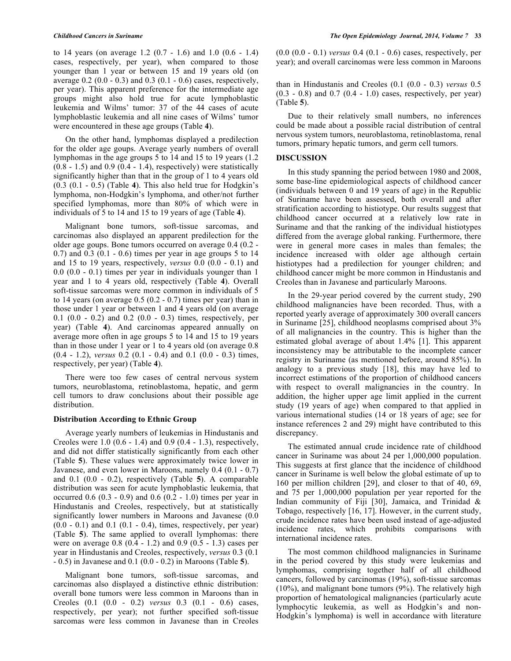to 14 years (on average 1.2 (0.7 - 1.6) and 1.0 (0.6 - 1.4) cases, respectively, per year), when compared to those younger than 1 year or between 15 and 19 years old (on average  $0.2 (0.0 - 0.3)$  and  $0.3 (0.1 - 0.6)$  cases, respectively, per year). This apparent preference for the intermediate age groups might also hold true for acute lymphoblastic leukemia and Wilms' tumor: 37 of the 44 cases of acute lymphoblastic leukemia and all nine cases of Wilms' tumor were encountered in these age groups (Table **4**).

On the other hand, lymphomas displayed a predilection for the older age goups. Average yearly numbers of overall lymphomas in the age groups 5 to 14 and 15 to 19 years (1.2  $(0.8 - 1.5)$  and  $(0.9 (0.4 - 1.4))$ , respectively) were statistically significantly higher than that in the group of 1 to 4 years old (0.3 (0.1 - 0.5) (Table **4**). This also held true for Hodgkin's lymphoma, non-Hodgkin's lymphoma, and other/not further specified lymphomas, more than 80% of which were in individuals of 5 to 14 and 15 to 19 years of age (Table **4**).

Malignant bone tumors, soft-tissue sarcomas, and carcinomas also displayed an apparent predilection for the older age goups. Bone tumors occurred on average 0.4 (0.2 - 0.7) and 0.3 (0.1 - 0.6) times per year in age groups 5 to 14 and 15 to 19 years, respectively, *versus* 0.0 (0.0 - 0.1) and 0.0 (0.0 - 0.1) times per year in individuals younger than 1 year and 1 to 4 years old, respectively (Table **4**). Overall soft-tissue sarcomas were more common in individuals of 5 to 14 years (on average  $0.5$  ( $0.2$  -  $0.7$ ) times per year) than in those under 1 year or between 1 and 4 years old (on average 0.1 (0.0 - 0.2) and 0.2 (0.0 - 0.3) times, respectively, per year) (Table **4**). And carcinomas appeared annually on average more often in age groups 5 to 14 and 15 to 19 years than in those under 1 year or 1 to 4 years old (on average 0.8 (0.4 - 1.2), *versus* 0.2 (0.1 - 0.4) and 0.1 (0.0 - 0.3) times, respectively, per year) (Table **4**).

There were too few cases of central nervous system tumors, neuroblastoma, retinoblastoma, hepatic, and germ cell tumors to draw conclusions about their possible age distribution.

## **Distribution According to Ethnic Group**

Average yearly numbers of leukemias in Hindustanis and Creoles were 1.0 (0.6 - 1.4) and 0.9 (0.4 - 1.3), respectively, and did not differ statistically significantly from each other (Table **5**). These values were approximately twice lower in Javanese, and even lower in Maroons, namely 0.4 (0.1 - 0.7) and 0.1 (0.0 - 0.2), respectively (Table **5**). A comparable distribution was seen for acute lymphoblastic leukemia, that occurred  $0.6$   $(0.3 - 0.9)$  and  $0.6$   $(0.2 - 1.0)$  times per year in Hindustanis and Creoles, respectively, but at statistically significantly lower numbers in Maroons and Javanese (0.0  $(0.0 - 0.1)$  and  $(0.1 - 0.4)$ , times, respectively, per year) (Table **5**). The same applied to overall lymphomas: there were on average 0.8 (0.4 - 1.2) and 0.9 (0.5 - 1.3) cases per year in Hindustanis and Creoles, respectively, *versus* 0.3 (0.1 - 0.5) in Javanese and 0.1 (0.0 - 0.2) in Maroons (Table **5**).

Malignant bone tumors, soft-tissue sarcomas, and carcinomas also displayed a distinctive ethnic distribution: overall bone tumors were less common in Maroons than in Creoles (0.1 (0.0 - 0.2) *versus* 0.3 (0.1 - 0.6) cases, respectively, per year); not further specified soft-tissue sarcomas were less common in Javanese than in Creoles

(0.0 (0.0 - 0.1) *versus* 0.4 (0.1 - 0.6) cases, respectively, per year); and overall carcinomas were less common in Maroons

than in Hindustanis and Creoles (0.1 (0.0 - 0.3) *versus* 0.5  $(0.3 - 0.8)$  and  $(0.7 (0.4 - 1.0))$  cases, respectively, per year) (Table **5**).

Due to their relatively small numbers, no inferences could be made about a possible racial distribution of central nervous system tumors, neuroblastoma, retinoblastoma, renal tumors, primary hepatic tumors, and germ cell tumors.

#### **DISCUSSION**

In this study spanning the period between 1980 and 2008, some base-line epidemiological aspects of childhood cancer (individuals between 0 and 19 years of age) in the Republic of Suriname have been assessed, both overall and after stratification according to histiotype. Our results suggest that childhood cancer occurred at a relatively low rate in Suriname and that the ranking of the individual histiotypes differed from the average global ranking. Furthermore, there were in general more cases in males than females; the incidence increased with older age although certain histiotypes had a predilection for younger children; and childhood cancer might be more common in Hindustanis and Creoles than in Javanese and particularly Maroons.

In the 29-year period covered by the current study, 290 childhood malignancies have been recorded. Thus, with a reported yearly average of approximately 300 overall cancers in Suriname [25], childhood neoplasms comprised about 3% of all malignancies in the country. This is higher than the estimated global average of about 1.4% [1]. This apparent inconsistency may be attributable to the incomplete cancer registry in Suriname (as mentioned before, around 85%). In analogy to a previous study [18], this may have led to incorrect estimations of the proportion of childhood cancers with respect to overall malignancies in the country. In addition, the higher upper age limit applied in the current study (19 years of age) when compared to that applied in various international studies (14 or 18 years of age; see for instance references 2 and 29) might have contributed to this discrepancy.

The estimated annual crude incidence rate of childhood cancer in Suriname was about 24 per 1,000,000 population. This suggests at first glance that the incidence of childhood cancer in Suriname is well below the global estimate of up to 160 per million children [29], and closer to that of 40, 69, and 75 per 1,000,000 population per year reported for the Indian community of Fiji [30], Jamaica, and Trinidad & Tobago, respectively [16, 17]. However, in the current study, crude incidence rates have been used instead of age-adjusted incidence rates, which prohibits comparisons with international incidence rates.

The most common childhood malignancies in Suriname in the period covered by this study were leukemias and lymphomas, comprising together half of all childhood cancers, followed by carcinomas (19%), soft-tissue sarcomas (10%), and malignant bone tumors (9%). The relatively high proportion of hematological malignancies (particularly acute lymphocytic leukemia, as well as Hodgkin's and non-Hodgkin's lymphoma) is well in accordance with literature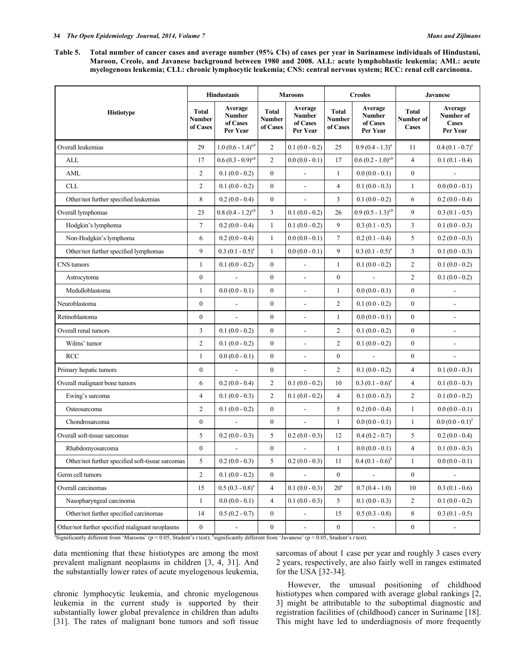**Table 5. Total number of cancer cases and average number (95% CIs) of cases per year in Surinamese individuals of Hindustani, Maroon, Creole, and Javanese background between 1980 and 2008. ALL: acute lymphoblastic leukemia; AML: acute myelogenous leukemia; CLL: chronic lymphocytic leukemia; CNS: central nervous system; RCC: renal cell carcinoma.**

|                                                  | <b>Hindustanis</b>                 |                                                  | <b>Maroons</b>                     |                                                  | <b>Creoles</b>                            |                                                  | <b>Javanese</b>                           |                                                  |
|--------------------------------------------------|------------------------------------|--------------------------------------------------|------------------------------------|--------------------------------------------------|-------------------------------------------|--------------------------------------------------|-------------------------------------------|--------------------------------------------------|
| <b>Histiotype</b>                                | <b>Total</b><br>Number<br>of Cases | Average<br><b>Number</b><br>of Cases<br>Per Year | <b>Total</b><br>Number<br>of Cases | Average<br><b>Number</b><br>of Cases<br>Per Year | <b>Total</b><br><b>Number</b><br>of Cases | Average<br><b>Number</b><br>of Cases<br>Per Year | <b>Total</b><br>Number of<br><b>Cases</b> | Average<br>Number of<br><b>Cases</b><br>Per Year |
| Overall leukemias                                | 29                                 | $1.0 (0.6 - 1.4)^{a,b}$                          | $\overline{2}$                     | $0.1(0.0 - 0.2)$                                 | 25                                        | $0.9(0.4 - 1.3)^a$                               | 11                                        | $0.4(0.1 - 0.7)^a$                               |
| ALL                                              | 17                                 | $0.6 (0.3 - 0.9)^{a,b}$                          | 2                                  | $0.0(0.0 - 0.1)$                                 | 17                                        | $0.6 (0.2 - 1.0)^{a,b}$                          | $\overline{4}$                            | $0.1(0.1 - 0.4)$                                 |
| AML                                              | $\overline{c}$                     | $0.1(0.0 - 0.2)$                                 | $\boldsymbol{0}$                   | L,                                               | $\mathbf{1}$                              | $0.0(0.0 - 0.1)$                                 | $\boldsymbol{0}$                          |                                                  |
| CLL                                              | $\overline{c}$                     | $0.1(0.0 - 0.2)$                                 | $\boldsymbol{0}$                   | $\overline{a}$                                   | $\overline{4}$                            | $0.1(0.0 - 0.3)$                                 | $\mathbf{1}$                              | $0.0(0.0 - 0.1)$                                 |
| Other/not further specified leukemias            | 8                                  | $0.2(0.0 - 0.4)$                                 | $\boldsymbol{0}$                   | $\frac{1}{2}$                                    | 3                                         | $0.1(0.0 - 0.2)$                                 | 6                                         | $0.2(0.0 - 0.4)$                                 |
| Overall lymphomas                                | 23                                 | $0.8 (0.4 - 1.2)^{a,b}$                          | $\mathfrak{Z}$                     | $0.1(0.0 - 0.2)$                                 | 26                                        | $0.9 (0.5 - 1.3)^{a,b}$                          | 9                                         | $0.3(0.1 - 0.5)$                                 |
| Hodgkin's lymphoma                               | $\tau$                             | $0.2(0.0 - 0.4)$                                 | $\mathbf{1}$                       | $0.1(0.0 - 0.2)$                                 | 9                                         | $0.3(0.1 - 0.5)$                                 | 3                                         | $0.1(0.0 - 0.3)$                                 |
| Non-Hodgkin's lymphoma                           | 6                                  | $0.2(0.0 - 0.4)$                                 | $\mathbf{1}$                       | $0.0(0.0 - 0.1)$                                 | $\tau$                                    | $0.2(0.1 - 0.4)$                                 | 5                                         | $0.2(0.0 - 0.3)$                                 |
| Other/not further specified lymphomas            | 9                                  | $0.3 (0.1 - 0.5)^a$                              | $\mathbf{1}$                       | $0.0(0.0 - 0.1)$                                 | 9                                         | $0.3 (0.1 - 0.5)^a$                              | 3                                         | $0.1(0.0 - 0.3)$                                 |
| CNS tumors                                       | $\mathbf{1}$                       | $0.1(0.0 - 0.2)$                                 | $\boldsymbol{0}$                   | $\blacksquare$                                   | $\mathbf{1}$                              | $0.1(0.0 - 0.2)$                                 | $\overline{c}$                            | $0.1(0.0 - 0.2)$                                 |
| Astrocytoma                                      | $\boldsymbol{0}$                   | $\overline{\phantom{a}}$                         | $\boldsymbol{0}$                   | $\frac{1}{2}$                                    | $\boldsymbol{0}$                          |                                                  | $\overline{2}$                            | $0.1(0.0 - 0.2)$                                 |
| Medulloblastoma                                  | $\mathbf{1}$                       | $0.0(0.0 - 0.1)$                                 | $\mathbf{0}$                       | $\blacksquare$                                   | $\mathbf{1}$                              | $0.0(0.0 - 0.1)$                                 | $\boldsymbol{0}$                          | $\overline{a}$                                   |
| Neuroblastoma                                    | $\boldsymbol{0}$                   | $\blacksquare$                                   | $\boldsymbol{0}$                   | $\overline{\phantom{a}}$                         | $\overline{2}$                            | $0.1(0.0 - 0.2)$                                 | $\boldsymbol{0}$                          | $\overline{a}$                                   |
| Retinoblastoma                                   | $\boldsymbol{0}$                   | $\overline{a}$                                   | $\boldsymbol{0}$                   | $\blacksquare$                                   | $\mathbf{1}$                              | $0.0(0.0 - 0.1)$                                 | $\boldsymbol{0}$                          | $\overline{\phantom{a}}$                         |
| Overall renal tumors                             | 3                                  | $0.1(0.0 - 0.2)$                                 | $\mathbf{0}$                       | ÷,                                               | $\overline{2}$                            | $0.1(0.0 - 0.2)$                                 | $\boldsymbol{0}$                          | $\overline{a}$                                   |
| Wilms' tumor                                     | 2                                  | $0.1(0.0 - 0.2)$                                 | $\boldsymbol{0}$                   | $\blacksquare$                                   | $\overline{c}$                            | $0.1(0.0 - 0.2)$                                 | $\boldsymbol{0}$                          | $\overline{a}$                                   |
| <b>RCC</b>                                       | $\mathbf{1}$                       | $0.0(0.0 - 0.1)$                                 | $\boldsymbol{0}$                   | $\overline{a}$                                   | $\boldsymbol{0}$                          |                                                  | $\boldsymbol{0}$                          |                                                  |
| Primary hepatic tumors                           | $\boldsymbol{0}$                   |                                                  | $\boldsymbol{0}$                   | $\frac{1}{2}$                                    | $\overline{2}$                            | $0.1(0.0 - 0.2)$                                 | $\overline{4}$                            | $0.1(0.0 - 0.3)$                                 |
| Overall malignant bone tumors                    | 6                                  | $0.2(0.0 - 0.4)$                                 | $\overline{c}$                     | $0.1(0.0 - 0.2)$                                 | 10                                        | $0.3 (0.1 - 0.6)^a$                              | $\overline{4}$                            | $0.1(0.0 - 0.3)$                                 |
| Ewing's sarcoma                                  | $\overline{4}$                     | $0.1(0.0 - 0.3)$                                 | $\overline{c}$                     | $0.1(0.0 - 0.2)$                                 | $\overline{4}$                            | $0.1(0.0 - 0.3)$                                 | $\overline{c}$                            | $0.1(0.0 - 0.2)$                                 |
| Osteosarcoma                                     | $\overline{c}$                     | $0.1(0.0 - 0.2)$                                 | $\boldsymbol{0}$                   | L,                                               | 5                                         | $0.2(0.0 - 0.4)$                                 | $\mathbf{1}$                              | $0.0(0.0 - 0.1)$                                 |
| Chondrosarcoma                                   | $\boldsymbol{0}$                   |                                                  | $\boldsymbol{0}$                   | $\blacksquare$                                   | $\mathbf{1}$                              | $0.0(0.0 - 0.1)$                                 | $\mathbf{1}$                              | $0.0 (0.0 - 0.1)^2$                              |
| Overall soft-tissue sarcomas                     | 5                                  | $0.2(0.0 - 0.3)$                                 | 5                                  | $0.2(0.0 - 0.3)$                                 | 12                                        | $0.4(0.2 - 0.7)$                                 | 5                                         | $0.2(0.0 - 0.4)$                                 |
| Rhabdomyosarcoma                                 | $\boldsymbol{0}$                   | $\overline{a}$                                   | $\boldsymbol{0}$                   | $\overline{\phantom{a}}$                         | $\mathbf{1}$                              | $0.0(0.0 - 0.1)$                                 | $\overline{4}$                            | $0.1(0.0 - 0.3)$                                 |
| Other/not further specified soft-tissue sarcomas | 5                                  | $0.2(0.0 - 0.3)$                                 | 5                                  | $0.2(0.0 - 0.3)$                                 | $11\,$                                    | $0.4 (0.1 - 0.6)^{b}$                            | $\mathbf{1}$                              | $0.0(0.0 - 0.1)$                                 |
| Germ cell tumors                                 | $\overline{c}$                     | $0.1(0.0 - 0.2)$                                 | $\boldsymbol{0}$                   | $\overline{a}$                                   | $\boldsymbol{0}$                          | $\overline{a}$                                   | $\boldsymbol{0}$                          | $\frac{1}{2}$                                    |
| Overall carcinomas                               | 15                                 | $0.5 (0.3 - 0.8)^a$                              | $\overline{4}$                     | $0.1(0.0 - 0.3)$                                 | $20^{\circ}$                              | $0.7(0.4 - 1.0)$                                 | 10                                        | $0.3(0.1 - 0.6)$                                 |
| Nasopharyngeal carcinoma                         | $\mathbf{1}$                       | $0.0(0.0 - 0.1)$                                 | $\overline{4}$                     | $0.1(0.0 - 0.3)$                                 | 5                                         | $0.1(0.0 - 0.3)$                                 | $\overline{c}$                            | $0.1(0.0 - 0.2)$                                 |
| Other/not further specified carcinomas           | 14                                 | $0.5(0.2 - 0.7)$                                 | $\mathbf{0}$                       | $\overline{\phantom{a}}$                         | 15                                        | $0.5(0.3 - 0.8)$                                 | 8                                         | $0.3(0.1 - 0.5)$                                 |
| Other/not further specified malignant neoplasms  | $\boldsymbol{0}$                   | $\blacksquare$                                   | $\boldsymbol{0}$                   | $\qquad \qquad \blacksquare$                     | $\boldsymbol{0}$                          | $\blacksquare$                                   | $\boldsymbol{0}$                          |                                                  |

<sup>8</sup>Significantly different from 'Maroons' (p < 0.05, Student's *t* test); <sup>b</sup>significantly different from 'Javanese' (p < 0.05, Student's *t* test).

data mentioning that these histiotypes are among the most prevalent malignant neoplasms in children [3, 4, 31]. And the substantially lower rates of acute myelogenous leukemia,

chronic lymphocytic leukemia, and chronic myelogenous leukemia in the current study is supported by their substantially lower global prevalence in children than adults [31]. The rates of malignant bone tumors and soft tissue sarcomas of about 1 case per year and roughly 3 cases every 2 years, respectively, are also fairly well in ranges estimated for the USA [32-34].

However, the unusual positioning of childhood histiotypes when compared with average global rankings [2, 3] might be attributable to the suboptimal diagnostic and registration facilities of (childhood) cancer in Suriname [18]. This might have led to underdiagnosis of more frequently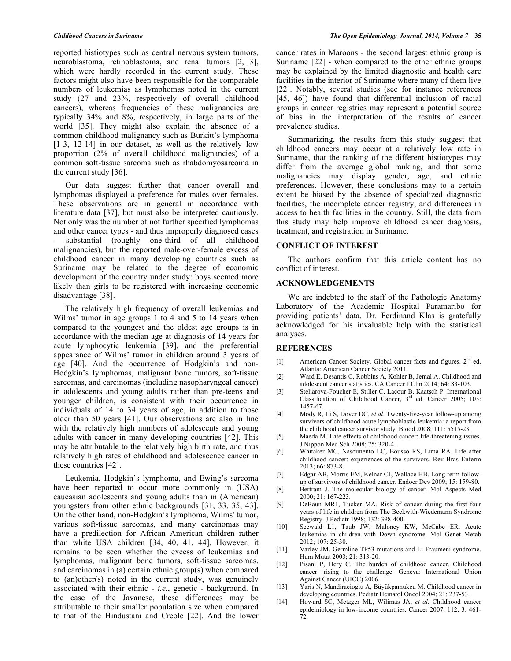reported histiotypes such as central nervous system tumors, neuroblastoma, retinoblastoma, and renal tumors [2, 3], which were hardly recorded in the current study. These factors might also have been responsible for the comparable numbers of leukemias as lymphomas noted in the current study (27 and 23%, respectively of overall childhood cancers), whereas frequencies of these malignancies are typically 34% and 8%, respectively, in large parts of the world [35]. They might also explain the absence of a common childhood malignancy such as Burkitt's lymphoma [1-3, 12-14] in our dataset, as well as the relatively low proportion (2% of overall childhood malignancies) of a common soft-tissue sarcoma such as rhabdomyosarcoma in the current study [36].

Our data suggest further that cancer overall and lymphomas displayed a preference for males over females. These observations are in general in accordance with literature data [37], but must also be interpreted cautiously. Not only was the number of not further specified lymphomas and other cancer types - and thus improperly diagnosed cases substantial (roughly one-third of all childhood malignancies), but the reported male-over-female excess of childhood cancer in many developing countries such as Suriname may be related to the degree of economic development of the country under study: boys seemed more likely than girls to be registered with increasing economic disadvantage [38].

The relatively high frequency of overall leukemias and Wilms' tumor in age groups 1 to 4 and 5 to 14 years when compared to the youngest and the oldest age groups is in accordance with the median age at diagnosis of 14 years for acute lymphocytic leukemia [39], and the preferential appearance of Wilms' tumor in children around 3 years of age [40]. And the occurrence of Hodgkin's and non-Hodgkin's lymphomas, malignant bone tumors, soft-tissue sarcomas, and carcinomas (including nasopharyngeal cancer) in adolescents and young adults rather than pre-teens and younger children, is consistent with their occurrence in individuals of 14 to 34 years of age, in addition to those older than 50 years [41]. Our observations are also in line with the relatively high numbers of adolescents and young adults with cancer in many developing countries [42]. This may be attributable to the relatively high birth rate, and thus relatively high rates of childhood and adolescence cancer in these countries [42].

Leukemia, Hodgkin's lymphoma, and Ewing's sarcoma have been reported to occur more commonly in (USA) caucasian adolescents and young adults than in (American) youngsters from other ethnic backgrounds [31, 33, 35, 43]. On the other hand, non-Hodgkin's lymphoma, Wilms' tumor, various soft-tissue sarcomas, and many carcinomas may have a predilection for African American children rather than white USA children [34, 40, 41, 44]. However, it remains to be seen whether the excess of leukemias and lymphomas, malignant bone tumors, soft-tissue sarcomas, and carcinomas in (a) certain ethnic group(s) when compared to (an)other(s) noted in the current study, was genuinely associated with their ethnic - *i.e.*, genetic - background. In the case of the Javanese, these differences may be attributable to their smaller population size when compared to that of the Hindustani and Creole [22]. And the lower

cancer rates in Maroons - the second largest ethnic group is Suriname [22] - when compared to the other ethnic groups may be explained by the limited diagnostic and health care facilities in the interior of Suriname where many of them live [22]. Notably, several studies (see for instance references [45, 46]) have found that differential inclusion of racial groups in cancer registries may represent a potential source of bias in the interpretation of the results of cancer prevalence studies.

Summarizing, the results from this study suggest that childhood cancers may occur at a relatively low rate in Suriname, that the ranking of the different histiotypes may differ from the average global ranking, and that some malignancies may display gender, age, and ethnic preferences. However, these conclusions may to a certain extent be biased by the absence of specialized diagnostic facilities, the incomplete cancer registry, and differences in access to health facilities in the country. Still, the data from this study may help improve childhood cancer diagnosis, treatment, and registration in Suriname.

#### **CONFLICT OF INTEREST**

The authors confirm that this article content has no conflict of interest.

#### **ACKNOWLEDGEMENTS**

We are indebted to the staff of the Pathologic Anatomy Laboratory of the Academic Hospital Paramaribo for providing patients' data. Dr. Ferdinand Klas is gratefully acknowledged for his invaluable help with the statistical analyses.

## **REFERENCES**

- [1] American Cancer Society. Global cancer facts and figures. 2<sup>nd</sup> ed. Atlanta: American Cancer Society 2011.
- [2] Ward E, Desantis C, Robbins A, Kohler B, Jemal A. Childhood and adolescent cancer statistics. CA Cancer J Clin 2014; 64: 83-103.
- [3] Steliarova-Foucher E, Stiller C, Lacour B, Kaatsch P. International Classification of Childhood Cancer, 3<sup>rd</sup> ed. Cancer 2005; 103: 1457-67.
- [4] Mody R, Li S, Dover DC, *et al*. Twenty-five-year follow-up among survivors of childhood acute lymphoblastic leukemia: a report from the childhood cancer survivor study. Blood 2008; 111: 5515-23.
- [5] Maeda M. Late effects of childhood cancer: life-threatening issues. J Nippon Med Sch 2008; 75: 320-4.
- [6] Whitaker MC, Nascimento LC, Bousso RS, Lima RA. Life after childhood cancer: experiences of the survivors. Rev Bras Enferm 2013; 66: 873-8.
- [7] Edgar AB, Morris EM, Kelnar CJ, Wallace HB. Long-term followup of survivors of childhood cancer. Endocr Dev 2009; 15: 159-80.
- [8] Bertram J. The molecular biology of cancer. Mol Aspects Med 2000; 21: 167-223.
- [9] DeBaun MR1, Tucker MA. Risk of cancer during the first four years of life in children from The Beckwith-Wiedemann Syndrome Registry. J Pediatr 1998; 132: 398-400.
- [10] Seewald L1, Taub JW, Maloney KW, McCabe ER. Acute leukemias in children with Down syndrome. Mol Genet Metab 2012; 107: 25-30.
- [11] Varley JM. Germline TP53 mutations and Li-Fraumeni syndrome. Hum Mutat 2003; 21: 313-20.
- [12] Pisani P, Hery C. The burden of childhood cancer. Childhood cancer: rising to the challenge. Geneva: International Union Against Cancer (UICC) 2006.
- [13] Yaris N, Mandiracioglu A, Büyükpamukcu M. Childhood cancer in developing countries. Pediatr Hematol Oncol 2004; 21: 237-53.
- [14] Howard SC, Metzger ML, Wilimas JA, *et al*. Childhood cancer epidemiology in low-income countries. Cancer 2007; 112: 3: 461- 72.